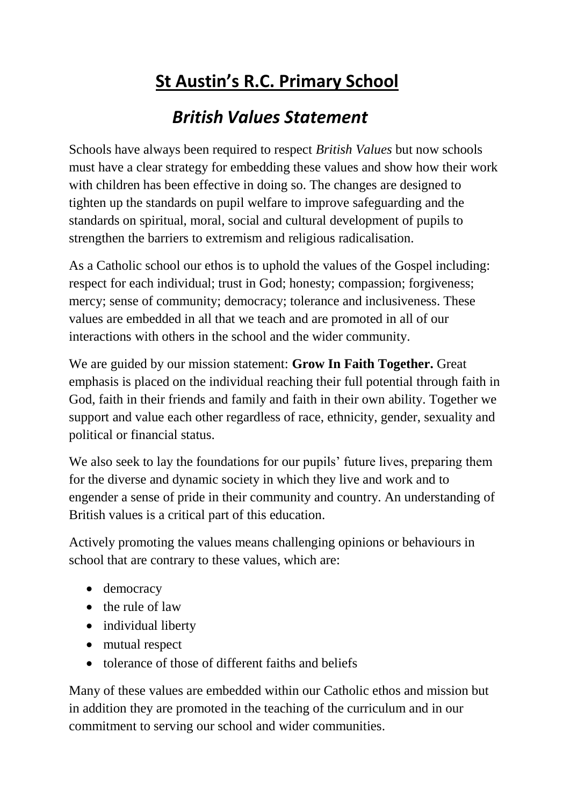# **St Austin's R.C. Primary School**

## *British Values Statement*

Schools have always been required to respect *British Values* but now schools must have a clear strategy for embedding these values and show how their work with children has been effective in doing so. The changes are designed to tighten up the standards on pupil welfare to improve safeguarding and the standards on spiritual, moral, social and cultural development of pupils to strengthen the barriers to extremism and religious radicalisation.

As a Catholic school our ethos is to uphold the values of the Gospel including: respect for each individual; trust in God; honesty; compassion; forgiveness; mercy; sense of community; democracy; tolerance and inclusiveness. These values are embedded in all that we teach and are promoted in all of our interactions with others in the school and the wider community.

We are guided by our mission statement: **Grow In Faith Together.** Great emphasis is placed on the individual reaching their full potential through faith in God, faith in their friends and family and faith in their own ability. Together we support and value each other regardless of race, ethnicity, gender, sexuality and political or financial status.

We also seek to lay the foundations for our pupils' future lives, preparing them for the diverse and dynamic society in which they live and work and to engender a sense of pride in their community and country. An understanding of British values is a critical part of this education.

Actively promoting the values means challenging opinions or behaviours in school that are contrary to these values, which are:

- democracy
- the rule of law
- individual liberty
- mutual respect
- tolerance of those of different faiths and beliefs

Many of these values are embedded within our Catholic ethos and mission but in addition they are promoted in the teaching of the curriculum and in our commitment to serving our school and wider communities.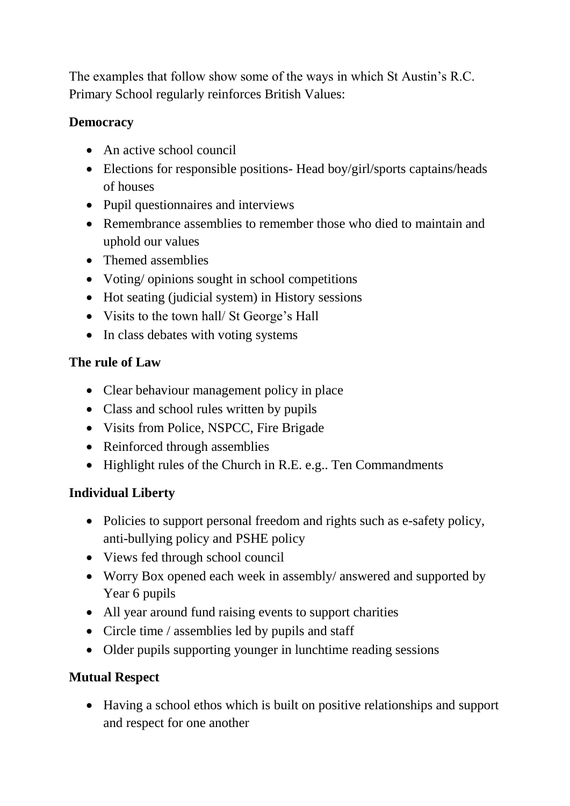The examples that follow show some of the ways in which St Austin's R.C. Primary School regularly reinforces British Values:

#### **Democracy**

- An active school council
- Elections for responsible positions- Head boy/girl/sports captains/heads of houses
- Pupil questionnaires and interviews
- Remembrance assemblies to remember those who died to maintain and uphold our values
- Themed assemblies
- Voting/ opinions sought in school competitions
- Hot seating (judicial system) in History sessions
- Visits to the town hall/ St George's Hall
- In class debates with voting systems

#### **The rule of Law**

- Clear behaviour management policy in place
- Class and school rules written by pupils
- Visits from Police, NSPCC, Fire Brigade
- Reinforced through assemblies
- Highlight rules of the Church in R.E. e.g.. Ten Commandments

#### **Individual Liberty**

- Policies to support personal freedom and rights such as e-safety policy, anti-bullying policy and PSHE policy
- Views fed through school council
- Worry Box opened each week in assembly/ answered and supported by Year 6 pupils
- All year around fund raising events to support charities
- Circle time / assemblies led by pupils and staff
- Older pupils supporting younger in lunchtime reading sessions

### **Mutual Respect**

 Having a school ethos which is built on positive relationships and support and respect for one another